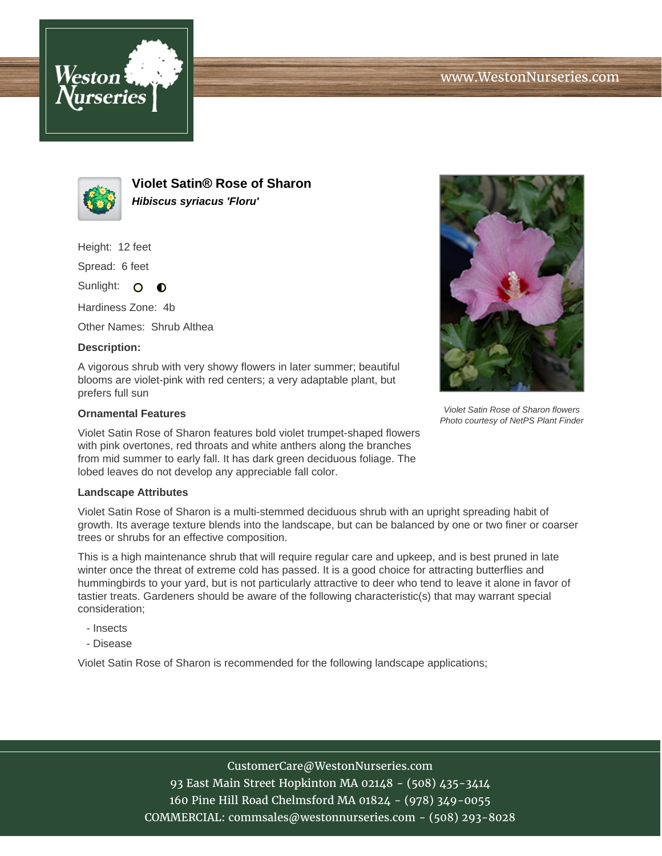



**Violet Satin® Rose of Sharon Hibiscus syriacus 'Floru'**

Height: 12 feet

Spread: 6 feet

Sunlight: O **O** 

Hardiness Zone: 4b

Other Names: Shrub Althea

## **Description:**

A vigorous shrub with very showy flowers in later summer; beautiful blooms are violet-pink with red centers; a very adaptable plant, but prefers full sun

## **Ornamental Features**

Violet Satin Rose of Sharon features bold violet trumpet-shaped flowers with pink overtones, red throats and white anthers along the branches from mid summer to early fall. It has dark green deciduous foliage. The lobed leaves do not develop any appreciable fall color.

## **Landscape Attributes**

Violet Satin Rose of Sharon is a multi-stemmed deciduous shrub with an upright spreading habit of growth. Its average texture blends into the landscape, but can be balanced by one or two finer or coarser trees or shrubs for an effective composition.

This is a high maintenance shrub that will require regular care and upkeep, and is best pruned in late winter once the threat of extreme cold has passed. It is a good choice for attracting butterflies and hummingbirds to your yard, but is not particularly attractive to deer who tend to leave it alone in favor of tastier treats. Gardeners should be aware of the following characteristic(s) that may warrant special consideration;

- Insects
- Disease

Violet Satin Rose of Sharon is recommended for the following landscape applications;



Violet Satin Rose of Sharon flowers Photo courtesy of NetPS Plant Finder

CustomerCare@WestonNurseries.com 93 East Main Street Hopkinton MA 02148 - (508) 435-3414 160 Pine Hill Road Chelmsford MA 01824 - (978) 349-0055 COMMERCIAL: commsales@westonnurseries.com - (508) 293-8028